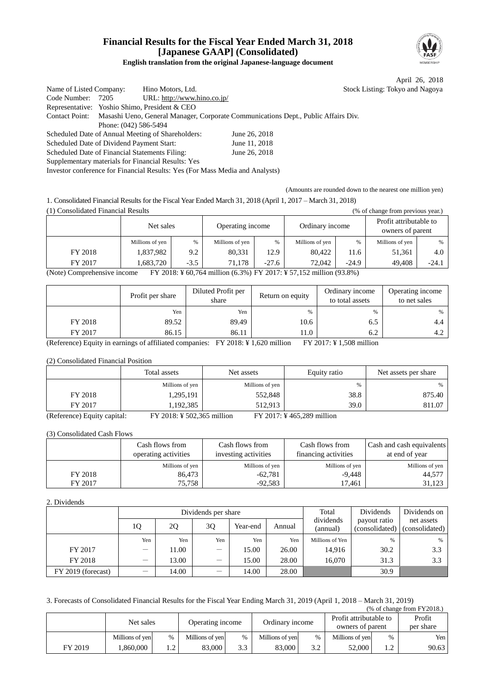### **Financial Results for the Fiscal Year Ended March 31, 2018 [Japanese GAAP] (Consolidated) English translation from the original Japanese-language document**



April 26, 2018 Listing: Tokyo and Nagoya:

| Name of Listed Company:                        |                       | Hino Motors, Ltd.                                                            |                                                                                                   | <b>Stock</b> |
|------------------------------------------------|-----------------------|------------------------------------------------------------------------------|---------------------------------------------------------------------------------------------------|--------------|
| Code Number:                                   | 7205                  | URL: http://www.hino.co.jp/                                                  |                                                                                                   |              |
|                                                |                       | Representative: Yoshio Shimo, President & CEO                                |                                                                                                   |              |
|                                                |                       |                                                                              | Contact Point: Masashi Ueno, General Manager, Corporate Communications Dept., Public Affairs Div. |              |
|                                                | Phone: (042) 586-5494 |                                                                              |                                                                                                   |              |
|                                                |                       | Scheduled Date of Annual Meeting of Shareholders:                            | June 26, 2018                                                                                     |              |
| Scheduled Date of Dividend Payment Start:      |                       |                                                                              | June 11, 2018                                                                                     |              |
| Scheduled Date of Financial Statements Filing: |                       |                                                                              | June 26, 2018                                                                                     |              |
|                                                |                       | Supplementary materials for Financial Results: Yes                           |                                                                                                   |              |
|                                                |                       | Investor conference for Financial Results: Yes (For Mass Media and Analysts) |                                                                                                   |              |

(Amounts are rounded down to the nearest one million yen)

1. Consolidated Financial Results for the Fiscal Year Ended March 31, 2018 (April 1, 2017 – March 31, 2018)  $(1)$  Consolidated Financial Results

| 17 Consonuateu Financial Results<br>$(70$ of change from previous year.                           |                 |               |                  |      |                 |      |                                            |         |
|---------------------------------------------------------------------------------------------------|-----------------|---------------|------------------|------|-----------------|------|--------------------------------------------|---------|
|                                                                                                   | Net sales       |               | Operating income |      | Ordinary income |      | Profit attributable to<br>owners of parent |         |
|                                                                                                   | Millions of yen | $\frac{0}{6}$ | Millions of yen  | $\%$ | Millions of yen | $\%$ | Millions of yen                            | $\%$    |
| FY 2018                                                                                           | 1,837,982       | 9.2           | 80,331           | 12.9 | 80.422          | 11.6 | 51.361                                     | 4.0     |
| FY 2017<br>1.683.720<br>$-3.5$<br>71.178<br>$-24.9$<br>49.408<br>$-27.6$<br>72,042                |                 |               |                  |      |                 |      |                                            | $-24.1$ |
| FY 2018: ¥ 60,764 million (6.3%) FY 2017: ¥ 57,152 million (93.8%)<br>(Note) Comprehensive income |                 |               |                  |      |                 |      |                                            |         |

Profit per share Diluted Profit per share  $\text{Return on equity}$   $\qquad \qquad \text{Ordinary income}$ to total assets Operating income to net sales  $Yen$   $Yen$   $\begin{array}{ccc} \end{array}$   $\begin{array}{ccc} \end{array}$   $\begin{array}{ccc} \end{array}$   $\begin{array}{ccc} \end{array}$   $\begin{array}{ccc} \end{array}$   $\begin{array}{ccc} \end{array}$   $\begin{array}{ccc} \end{array}$   $\begin{array}{ccc} \end{array}$   $\begin{array}{ccc} \end{array}$   $\begin{array}{ccc} \end{array}$   $\begin{array}{ccc} \end{array}$   $\begin{array}{ccc} \end{array}$   $\begin{array}{ccc} \end{array}$   $\begin{array}{ccc} \end{array}$  FY 2018  $\begin{array}{|c|c|c|c|c|c|c|c|c|} \hline \end{array}$  89.52 89.49 10.6 6.5 6.5 4.4 FY 2017  $\begin{array}{|c|c|c|c|c|c|c|c|c|} \hline \end{array}$  86.15 86.11 11.0 6.2 6.2

(Reference) Equity in earnings of affiliated companies: FY 2018: ¥ 1,620 million FY 2017: ¥ 1,508 million

(2) Consolidated Financial Position

|                                                                                                                                                                                                                                                                                                                    | Total assets                         | Net assets      | Equity ratio                         | Net assets per share |
|--------------------------------------------------------------------------------------------------------------------------------------------------------------------------------------------------------------------------------------------------------------------------------------------------------------------|--------------------------------------|-----------------|--------------------------------------|----------------------|
|                                                                                                                                                                                                                                                                                                                    | Millions of yen                      | Millions of yen | %                                    | %                    |
| FY 2018                                                                                                                                                                                                                                                                                                            | 1,295,191                            | 552,848         | 38.8                                 | 875.40               |
| FY 2017                                                                                                                                                                                                                                                                                                            | 1,192,385                            | 512.913         | 39.0                                 | 811.07               |
| $\sqrt{D}$ $\sqrt{D}$ $\sqrt{D}$ $\sqrt{D}$ $\sqrt{D}$ $\sqrt{D}$ $\sqrt{D}$ $\sqrt{D}$ $\sqrt{D}$ $\sqrt{D}$ $\sqrt{D}$ $\sqrt{D}$ $\sqrt{D}$ $\sqrt{D}$ $\sqrt{D}$ $\sqrt{D}$ $\sqrt{D}$ $\sqrt{D}$ $\sqrt{D}$ $\sqrt{D}$ $\sqrt{D}$ $\sqrt{D}$ $\sqrt{D}$ $\sqrt{D}$ $\sqrt{D}$ $\sqrt{D}$ $\sqrt{D}$ $\sqrt{D$ | $\Gamma V$ 2010 $V$ 502.255 $''$ 11. |                 | $\Gamma V$ 0017 $V$ 465,000 $\Gamma$ |                      |

(Reference) Equity capital: FY 2018: ¥ 502,365 million FY 2017: ¥ 465,289 million

(3) Consolidated Cash Flows

|         | Cash flows from<br>operating activities | Cash flows from<br>investing activities | Cash flows from<br>financing activities | Cash and cash equivalents<br>at end of year |
|---------|-----------------------------------------|-----------------------------------------|-----------------------------------------|---------------------------------------------|
|         | Millions of yen                         | Millions of yen                         | Millions of yen                         | Millions of yen                             |
| FY 2018 | 86.473                                  | $-62,781$                               | $-9,448$                                | 44,577                                      |
| FY 2017 | 75,758                                  | $-92,583$                               | 17,461                                  | 31,123                                      |

#### 2. Dividends

|                    |                          |       | Dividends per share | Total    | Dividends | Dividends on          |                                |                              |
|--------------------|--------------------------|-------|---------------------|----------|-----------|-----------------------|--------------------------------|------------------------------|
|                    | 10                       | 2Q    | 30                  | Year-end | Annual    | dividends<br>(annual) | payout ratio<br>(consolidated) | net assets<br>(consolidated) |
|                    | Yen                      | Yen   | Yen                 | Yen      | Yen       | Millions of Yen       | $\%$                           | %                            |
| FY 2017            | $\overline{\phantom{0}}$ | 11.00 | —                   | 15.00    | 26.00     | 14,916                | 30.2                           | 3.3                          |
| FY 2018            | $\overline{\phantom{m}}$ | 13.00 | —                   | 15.00    | 28.00     | 16,070                | 31.3                           | 3.3                          |
| FY 2019 (forecast) | $\overline{\phantom{m}}$ | 14.00 |                     | 14.00    | 28.00     |                       | 30.9                           |                              |

3. Forecasts of Consolidated Financial Results for the Fiscal Year Ending March 31, 2019 (April 1, 2018 – March 31, 2019)  $(% \text{ of change from FY2018.})$ 

|         |                 |   |                  |     |                 |      |                                            |     | $\frac{1}{20}$ of change homer 12010. |
|---------|-----------------|---|------------------|-----|-----------------|------|--------------------------------------------|-----|---------------------------------------|
|         | Net sales       |   | Operating income |     | Ordinary income |      | Profit attributable to<br>owners of parent |     | Profit<br>per share                   |
|         | Millions of yen | % | Millions of ven  | %   | Millions of yen | $\%$ | Millions of ven                            | %   | Yen                                   |
| FY 2019 | .860.000        | . | 83.000           | 3.3 | 83.000          | 3.2  | 52.000                                     | 1.2 | 90.63                                 |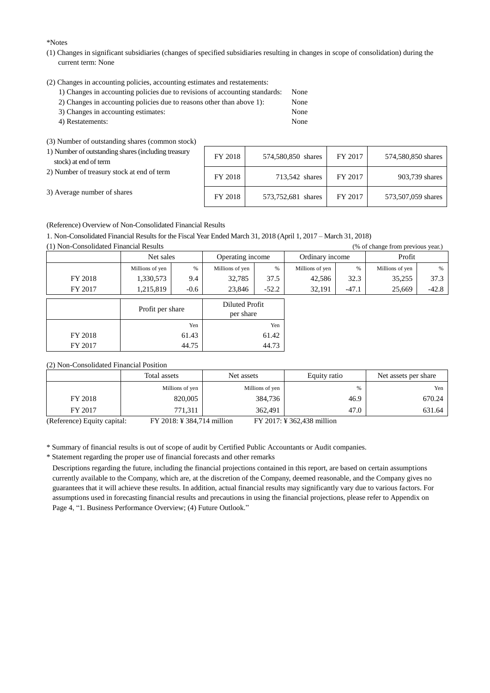\*Notes

- (1) Changes in significant subsidiaries (changes of specified subsidiaries resulting in changes in scope of consolidation) during the current term: None
- (2) Changes in accounting policies, accounting estimates and restatements:
	- 1) Changes in accounting policies due to revisions of accounting standards: None
	- 2) Changes in accounting policies due to reasons other than above 1): None
	- 3) Changes in accounting estimates: None 4) Restatements: None
	-

(3) Number of outstanding shares (common stock)

| 1) Number of outstanding shares (including treasury<br>stock) at end of term | FY 2018 | 574,580,850 shares | FY 2017 | 574,580,850 shares |
|------------------------------------------------------------------------------|---------|--------------------|---------|--------------------|
| 2) Number of treasury stock at end of term                                   | FY 2018 | 713,542 shares     | FY 2017 | 903,739 shares     |
| 3) Average number of shares                                                  | FY 2018 | 573,752,681 shares | FY 2017 | 573,507,059 shares |

(Reference) Overview of Non-Consolidated Financial Results

1. Non-Consolidated Financial Results for the Fiscal Year Ended March 31, 2018 (April 1, 2017 – March 31, 2018)

(1) Non-Consolidated Financial Results (% of change from previous year.)

| $\sqrt{2}$ |                  |        |                             |         |                 |         | $\circ$         |         |  |  |  |
|------------|------------------|--------|-----------------------------|---------|-----------------|---------|-----------------|---------|--|--|--|
|            | Net sales        |        | Operating income            |         | Ordinary income |         | Profit          |         |  |  |  |
|            | Millions of yen  | $\%$   | Millions of yen             | $\%$    | Millions of yen | $\%$    | Millions of yen | $\%$    |  |  |  |
| FY 2018    | 1,330,573        | 9.4    | 32,785                      | 37.5    | 42,586          | 32.3    | 35,255          | 37.3    |  |  |  |
| FY 2017    | 1,215,819        | $-0.6$ | 23,846                      | $-52.2$ | 32,191          | $-47.1$ | 25,669          | $-42.8$ |  |  |  |
|            | Profit per share |        | Diluted Profit<br>per share |         |                 |         |                 |         |  |  |  |
|            |                  | Yen    | Yen                         |         |                 |         |                 |         |  |  |  |
| FY 2018    |                  | 61.43  |                             | 61.42   |                 |         |                 |         |  |  |  |
| FY 2017    |                  | 44.75  | 44.73                       |         |                 |         |                 |         |  |  |  |

(2) Non-Consolidated Financial Position

|                             | Total assets               | Net assets      | Equity ratio               | Net assets per share |
|-----------------------------|----------------------------|-----------------|----------------------------|----------------------|
|                             | Millions of yen            | Millions of yen | %                          | Yen                  |
| FY 2018                     | 820,005                    | 384,736         | 46.9                       | 670.24               |
| FY 2017                     | 771.311                    | 362,491         | 47.0                       | 631.64               |
| (Reference) Equity capital: | FY 2018: ¥ 384,714 million |                 | FY 2017: ¥ 362,438 million |                      |

\* Summary of financial results is out of scope of audit by Certified Public Accountants or Audit companies. \* Statement regarding the proper use of financial forecasts and other remarks

Descriptions regarding the future, including the financial projections contained in this report, are based on certain assumptions currently available to the Company, which are, at the discretion of the Company, deemed reasonable, and the Company gives no guarantees that it will achieve these results. In addition, actual financial results may significantly vary due to various factors. For assumptions used in forecasting financial results and precautions in using the financial projections, please refer to Appendix on Page 4, "1. Business Performance Overview; (4) Future Outlook."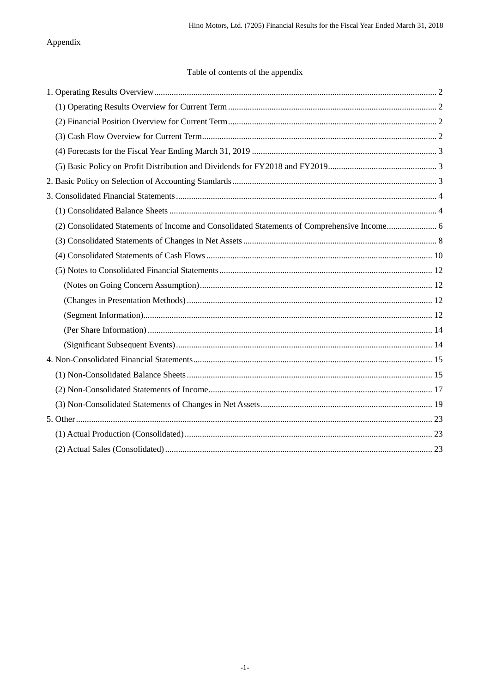## Appendix

## Table of contents of the appendix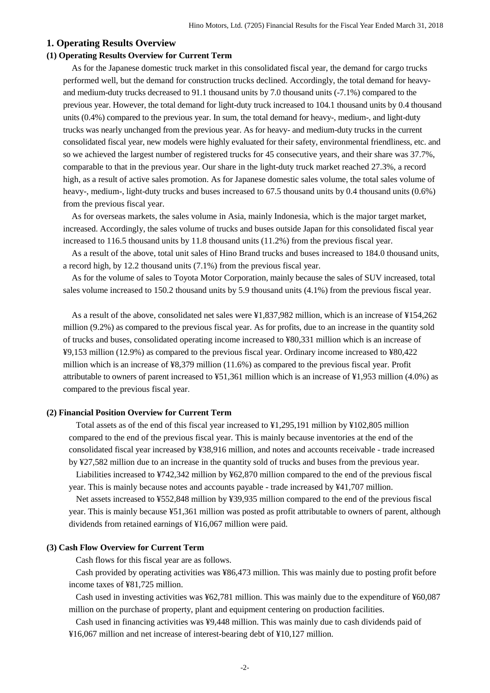### <span id="page-3-0"></span>**1. Operating Results Overview**

### <span id="page-3-1"></span>**(1) Operating Results Overview for Current Term**

As for the Japanese domestic truck market in this consolidated fiscal year, the demand for cargo trucks performed well, but the demand for construction trucks declined. Accordingly, the total demand for heavyand medium-duty trucks decreased to 91.1 thousand units by 7.0 thousand units (-7.1%) compared to the previous year. However, the total demand for light-duty truck increased to 104.1 thousand units by 0.4 thousand units (0.4%) compared to the previous year. In sum, the total demand for heavy-, medium-, and light-duty trucks was nearly unchanged from the previous year. As for heavy- and medium-duty trucks in the current consolidated fiscal year, new models were highly evaluated for their safety, environmental friendliness, etc. and so we achieved the largest number of registered trucks for 45 consecutive years, and their share was 37.7%, comparable to that in the previous year. Our share in the light-duty truck market reached 27.3%, a record high, as a result of active sales promotion. As for Japanese domestic sales volume, the total sales volume of heavy-, medium-, light-duty trucks and buses increased to 67.5 thousand units by 0.4 thousand units (0.6%) from the previous fiscal year.

As for overseas markets, the sales volume in Asia, mainly Indonesia, which is the major target market, increased. Accordingly, the sales volume of trucks and buses outside Japan for this consolidated fiscal year increased to 116.5 thousand units by 11.8 thousand units (11.2%) from the previous fiscal year.

As a result of the above, total unit sales of Hino Brand trucks and buses increased to 184.0 thousand units, a record high, by 12.2 thousand units (7.1%) from the previous fiscal year.

As for the volume of sales to Toyota Motor Corporation, mainly because the sales of SUV increased, total sales volume increased to 150.2 thousand units by 5.9 thousand units (4.1%) from the previous fiscal year.

As a result of the above, consolidated net sales were ¥1,837,982 million, which is an increase of ¥154,262 million (9.2%) as compared to the previous fiscal year. As for profits, due to an increase in the quantity sold of trucks and buses, consolidated operating income increased to ¥80,331 million which is an increase of ¥9,153 million (12.9%) as compared to the previous fiscal year. Ordinary income increased to ¥80,422 million which is an increase of ¥8,379 million (11.6%) as compared to the previous fiscal year. Profit attributable to owners of parent increased to ¥51,361 million which is an increase of ¥1,953 million (4.0%) as compared to the previous fiscal year.

#### <span id="page-3-2"></span>**(2) Financial Position Overview for Current Term**

Total assets as of the end of this fiscal year increased to ¥1,295,191 million by ¥102,805 million compared to the end of the previous fiscal year. This is mainly because inventories at the end of the consolidated fiscal year increased by ¥38,916 million, and notes and accounts receivable - trade increased by ¥27,582 million due to an increase in the quantity sold of trucks and buses from the previous year. Liabilities increased to ¥742,342 million by ¥62,870 million compared to the end of the previous fiscal year. This is mainly because notes and accounts payable - trade increased by ¥41,707 million.

Net assets increased to ¥552,848 million by ¥39,935 million compared to the end of the previous fiscal year. This is mainly because ¥51,361 million was posted as profit attributable to owners of parent, although dividends from retained earnings of ¥16,067 million were paid.

#### <span id="page-3-3"></span>**(3) Cash Flow Overview for Current Term**

Cash flows for this fiscal year are as follows.

Cash provided by operating activities was ¥86,473 million. This was mainly due to posting profit before income taxes of ¥81,725 million.

Cash used in investing activities was ¥62,781 million. This was mainly due to the expenditure of ¥60,087 million on the purchase of property, plant and equipment centering on production facilities.

Cash used in financing activities was ¥9,448 million. This was mainly due to cash dividends paid of ¥16,067 million and net increase of interest-bearing debt of ¥10,127 million.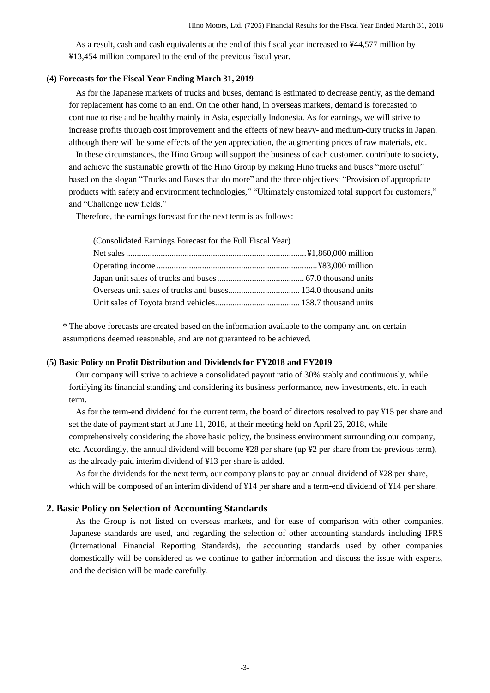As a result, cash and cash equivalents at the end of this fiscal year increased to ¥44,577 million by ¥13,454 million compared to the end of the previous fiscal year.

#### <span id="page-4-0"></span>**(4) Forecasts for the Fiscal Year Ending March 31, 2019**

As for the Japanese markets of trucks and buses, demand is estimated to decrease gently, as the demand for replacement has come to an end. On the other hand, in overseas markets, demand is forecasted to continue to rise and be healthy mainly in Asia, especially Indonesia. As for earnings, we will strive to increase profits through cost improvement and the effects of new heavy- and medium-duty trucks in Japan, although there will be some effects of the yen appreciation, the augmenting prices of raw materials, etc.

In these circumstances, the Hino Group will support the business of each customer, contribute to society, and achieve the sustainable growth of the Hino Group by making Hino trucks and buses "more useful" based on the slogan "Trucks and Buses that do more" and the three objectives: "Provision of appropriate products with safety and environment technologies," "Ultimately customized total support for customers," and "Challenge new fields."

Therefore, the earnings forecast for the next term is as follows:

| (Consolidated Earnings Forecast for the Full Fiscal Year) |  |  |  |
|-----------------------------------------------------------|--|--|--|
|                                                           |  |  |  |

\* The above forecasts are created based on the information available to the company and on certain assumptions deemed reasonable, and are not guaranteed to be achieved.

#### <span id="page-4-1"></span>**(5) Basic Policy on Profit Distribution and Dividends for FY2018 and FY2019**

Our company will strive to achieve a consolidated payout ratio of 30% stably and continuously, while fortifying its financial standing and considering its business performance, new investments, etc. in each term.

As for the term-end dividend for the current term, the board of directors resolved to pay ¥15 per share and set the date of payment start at June 11, 2018, at their meeting held on April 26, 2018, while comprehensively considering the above basic policy, the business environment surrounding our company, etc. Accordingly, the annual dividend will become ¥28 per share (up ¥2 per share from the previous term), as the already-paid interim dividend of ¥13 per share is added.

As for the dividends for the next term, our company plans to pay an annual dividend of ¥28 per share, which will be composed of an interim dividend of ¥14 per share and a term-end dividend of ¥14 per share.

### <span id="page-4-2"></span>**2. Basic Policy on Selection of Accounting Standards**

As the Group is not listed on overseas markets, and for ease of comparison with other companies, Japanese standards are used, and regarding the selection of other accounting standards including IFRS (International Financial Reporting Standards), the accounting standards used by other companies domestically will be considered as we continue to gather information and discuss the issue with experts, and the decision will be made carefully.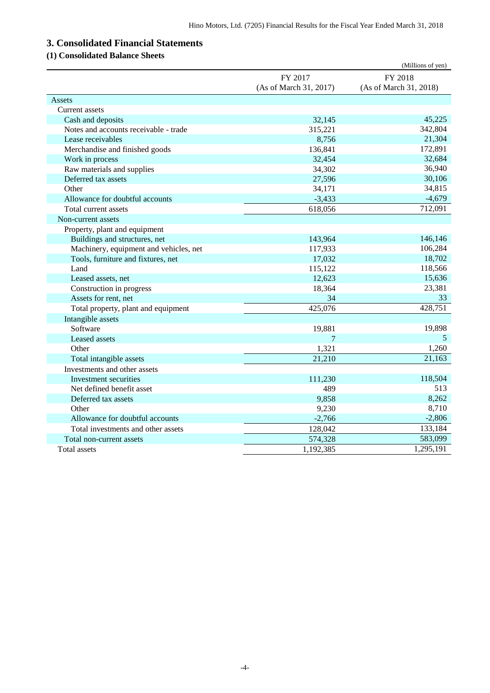# <span id="page-5-0"></span>**3. Consolidated Financial Statements**

# <span id="page-5-1"></span>**(1) Consolidated Balance Sheets**

|                                        |                        | (Millions of yen)      |
|----------------------------------------|------------------------|------------------------|
|                                        | FY 2017                | FY 2018                |
|                                        | (As of March 31, 2017) | (As of March 31, 2018) |
| Assets                                 |                        |                        |
| Current assets                         |                        |                        |
| Cash and deposits                      | 32,145                 | 45,225                 |
| Notes and accounts receivable - trade  | 315,221                | 342,804                |
| Lease receivables                      | 8,756                  | 21,304                 |
| Merchandise and finished goods         | 136,841                | 172,891                |
| Work in process                        | 32,454                 | 32,684                 |
| Raw materials and supplies             | 34,302                 | 36,940                 |
| Deferred tax assets                    | 27,596                 | 30,106                 |
| Other                                  | 34,171                 | 34,815                 |
| Allowance for doubtful accounts        | $-3,433$               | $-4,679$               |
| Total current assets                   | 618,056                | 712,091                |
| Non-current assets                     |                        |                        |
| Property, plant and equipment          |                        |                        |
| Buildings and structures, net          | 143,964                | 146,146                |
| Machinery, equipment and vehicles, net | 117,933                | 106,284                |
| Tools, furniture and fixtures, net     | 17,032                 | 18,702                 |
| Land                                   | 115,122                | 118,566                |
| Leased assets, net                     | 12,623                 | 15,636                 |
| Construction in progress               | 18,364                 | 23,381                 |
| Assets for rent, net                   | 34                     | 33                     |
| Total property, plant and equipment    | 425,076                | 428,751                |
| Intangible assets                      |                        |                        |
| Software                               | 19,881                 | 19,898                 |
| Leased assets                          | $\tau$                 | 5                      |
| Other                                  | 1,321                  | 1,260                  |
| Total intangible assets                | 21,210                 | 21,163                 |
| Investments and other assets           |                        |                        |
| Investment securities                  | 111,230                | 118,504                |
| Net defined benefit asset              | 489                    | 513                    |
| Deferred tax assets                    | 9,858                  | 8,262                  |
| Other                                  | 9,230                  | 8,710                  |
| Allowance for doubtful accounts        | $-2,766$               | $-2,806$               |
| Total investments and other assets     | 128,042                | 133,184                |
| Total non-current assets               | 574,328                | 583,099                |
| Total assets                           | 1,192,385              | 1,295,191              |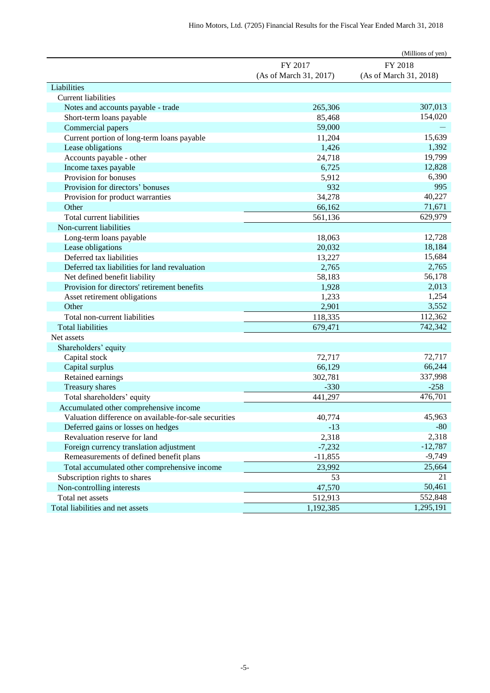|                                                       |                        | (Millions of yen)      |
|-------------------------------------------------------|------------------------|------------------------|
|                                                       | FY 2017                | FY 2018                |
|                                                       | (As of March 31, 2017) | (As of March 31, 2018) |
| Liabilities                                           |                        |                        |
| <b>Current liabilities</b>                            |                        |                        |
| Notes and accounts payable - trade                    | 265,306                | 307,013                |
| Short-term loans payable                              | 85,468                 | 154,020                |
| Commercial papers                                     | 59,000                 |                        |
| Current portion of long-term loans payable            | 11,204                 | 15,639                 |
| Lease obligations                                     | 1,426                  | 1,392                  |
| Accounts payable - other                              | 24,718                 | 19,799                 |
| Income taxes payable                                  | 6,725                  | 12,828                 |
| Provision for bonuses                                 | 5,912                  | 6,390                  |
| Provision for directors' bonuses                      | 932                    | 995                    |
| Provision for product warranties                      | 34,278                 | 40,227                 |
| Other                                                 | 66,162                 | 71,671                 |
| Total current liabilities                             | 561,136                | 629,979                |
| Non-current liabilities                               |                        |                        |
| Long-term loans payable                               | 18,063                 | 12,728                 |
| Lease obligations                                     | 20,032                 | 18,184                 |
| Deferred tax liabilities                              | 13,227                 | 15,684                 |
| Deferred tax liabilities for land revaluation         | 2,765                  | 2,765                  |
| Net defined benefit liability                         | 58,183                 | 56,178                 |
| Provision for directors' retirement benefits          | 1,928                  | 2,013                  |
| Asset retirement obligations                          | 1,233                  | 1,254                  |
| Other                                                 | 2,901                  | 3,552                  |
| Total non-current liabilities                         | 118,335                | 112,362                |
| <b>Total liabilities</b>                              | 679,471                | 742,342                |
| Net assets                                            |                        |                        |
| Shareholders' equity                                  |                        |                        |
| Capital stock                                         | 72,717                 | 72,717                 |
| Capital surplus                                       | 66,129                 | 66,244                 |
| Retained earnings                                     | 302,781                | 337,998                |
| Treasury shares                                       | $-330$                 | $-258$                 |
| Total shareholders' equity                            | 441,297                | 476,701                |
| Accumulated other comprehensive income                |                        |                        |
| Valuation difference on available-for-sale securities | 40,774                 | 45,963                 |
| Deferred gains or losses on hedges                    | $-13$                  | $-80$                  |
| Revaluation reserve for land                          | 2,318                  | 2,318                  |
| Foreign currency translation adjustment               | $-7,232$               | $-12,787$              |
| Remeasurements of defined benefit plans               | $-11,855$              | $-9,749$               |
| Total accumulated other comprehensive income          | 23,992                 | 25,664                 |
| Subscription rights to shares                         | 53                     | 21                     |
| Non-controlling interests                             | 47,570                 | 50,461                 |
| Total net assets                                      | 512,913                | 552,848                |
| Total liabilities and net assets                      | 1,192,385              | 1,295,191              |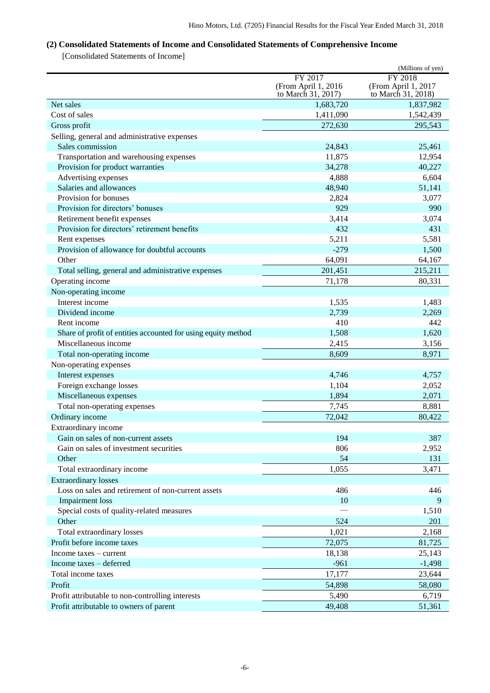## <span id="page-7-0"></span>**(2) Consolidated Statements of Income and Consolidated Statements of Comprehensive Income**

[Consolidated Statements of Income]

|                                                               |                     | (Millions of yen)   |
|---------------------------------------------------------------|---------------------|---------------------|
|                                                               | FY 2017             | FY 2018             |
|                                                               | (From April 1, 2016 | (From April 1, 2017 |
|                                                               | to March 31, 2017)  | to March 31, 2018)  |
| Net sales                                                     | 1,683,720           | 1,837,982           |
| Cost of sales                                                 | 1,411,090           | 1,542,439           |
| Gross profit                                                  | 272,630             | 295,543             |
| Selling, general and administrative expenses                  |                     |                     |
| Sales commission                                              | 24,843              | 25,461              |
| Transportation and warehousing expenses                       | 11,875              | 12,954              |
| Provision for product warranties                              | 34,278              | 40,227              |
| Advertising expenses                                          | 4,888               | 6,604               |
| Salaries and allowances                                       | 48,940              | 51,141              |
| Provision for bonuses                                         | 2,824               | 3,077               |
| Provision for directors' bonuses                              | 929                 | 990                 |
| Retirement benefit expenses                                   | 3,414               | 3,074               |
| Provision for directors' retirement benefits                  | 432                 | 431                 |
| Rent expenses                                                 | 5,211               | 5,581               |
| Provision of allowance for doubtful accounts                  | $-279$              | 1,500               |
| Other                                                         | 64,091              | 64,167              |
| Total selling, general and administrative expenses            | 201,451             | 215,211             |
| Operating income                                              | 71,178              | 80,331              |
| Non-operating income                                          |                     |                     |
| Interest income                                               | 1,535               | 1,483               |
| Dividend income                                               | 2,739               | 2,269               |
| Rent income                                                   | 410                 | 442                 |
| Share of profit of entities accounted for using equity method | 1,508               | 1,620               |
| Miscellaneous income                                          | 2,415               | 3,156               |
| Total non-operating income                                    | 8,609               | 8,971               |
| Non-operating expenses                                        |                     |                     |
| Interest expenses                                             | 4,746               | 4,757               |
| Foreign exchange losses                                       | 1,104               | 2,052               |
| Miscellaneous expenses                                        | 1,894               | 2,071               |
| Total non-operating expenses                                  | 7,745               | 8,881               |
| Ordinary income                                               | 72,042              | 80,422              |
| Extraordinary income                                          |                     |                     |
| Gain on sales of non-current assets                           | 194                 | 387                 |
| Gain on sales of investment securities                        | 806                 | 2,952               |
| Other                                                         | 54                  | 131                 |
| Total extraordinary income                                    | 1,055               | 3,471               |
| <b>Extraordinary losses</b>                                   |                     |                     |
| Loss on sales and retirement of non-current assets            | 486                 | 446                 |
| <b>Impairment</b> loss                                        | 10                  | 9                   |
| Special costs of quality-related measures                     |                     | 1,510               |
| Other                                                         | 524                 | 201                 |
| Total extraordinary losses                                    | 1,021               | 2,168               |
| Profit before income taxes                                    | 72,075              | 81,725              |
| Income taxes – current                                        | 18,138              | 25,143              |
| Income taxes – deferred                                       | $-961$              | $-1,498$            |
| Total income taxes                                            | 17,177              | 23,644              |
| Profit                                                        | 54,898              | 58,080              |
| Profit attributable to non-controlling interests              | 5,490               | 6,719               |
| Profit attributable to owners of parent                       | 49,408              | 51,361              |
|                                                               |                     |                     |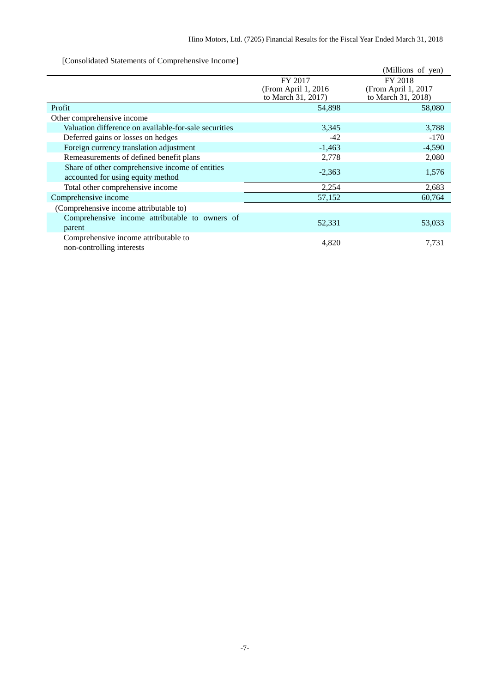[Consolidated Statements of Comprehensive Income]

|                                                                                      |                                                       | (Millions of yen)                                    |
|--------------------------------------------------------------------------------------|-------------------------------------------------------|------------------------------------------------------|
|                                                                                      | FY 2017<br>(From April 1, 2016)<br>to March 31, 2017) | FY 2018<br>(From April 1, 2017<br>to March 31, 2018) |
| Profit                                                                               | 54,898                                                | 58,080                                               |
| Other comprehensive income                                                           |                                                       |                                                      |
| Valuation difference on available-for-sale securities                                | 3,345                                                 | 3,788                                                |
| Deferred gains or losses on hedges                                                   | $-42$                                                 | -170                                                 |
| Foreign currency translation adjustment                                              | $-1,463$                                              | $-4,590$                                             |
| Remeasurements of defined benefit plans                                              | 2,778                                                 | 2,080                                                |
| Share of other comprehensive income of entities<br>accounted for using equity method | $-2,363$                                              | 1,576                                                |
| Total other comprehensive income                                                     | 2,254                                                 | 2,683                                                |
| Comprehensive income                                                                 | 57,152                                                | 60,764                                               |
| (Comprehensive income attributable to)                                               |                                                       |                                                      |
| Comprehensive income attributable to owners of<br>parent                             | 52,331                                                | 53,033                                               |
| Comprehensive income attributable to<br>non-controlling interests                    | 4,820                                                 | 7,731                                                |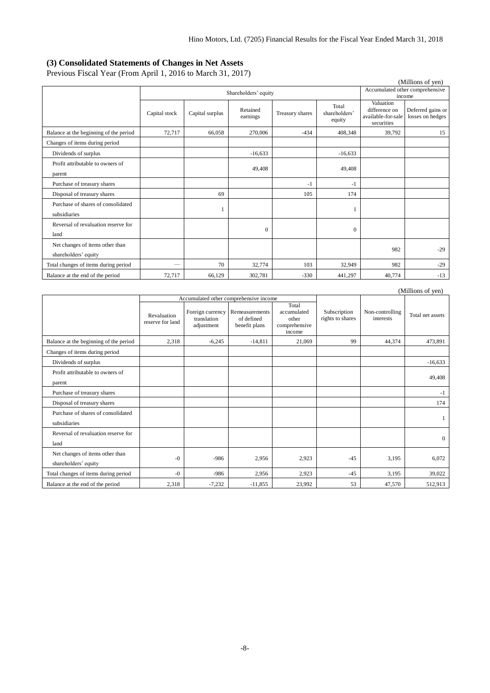#### <span id="page-9-0"></span>**(3) Consolidated Statements of Changes in Net Assets**

Previous Fiscal Year (From April 1, 2016 to March 31, 2017)

| (Millions of yen)                                       |               |                 |                      |                 |                                  |                                                                |                                       |
|---------------------------------------------------------|---------------|-----------------|----------------------|-----------------|----------------------------------|----------------------------------------------------------------|---------------------------------------|
|                                                         |               |                 | Shareholders' equity |                 |                                  | Accumulated other comprehensive<br>income                      |                                       |
|                                                         | Capital stock | Capital surplus | Retained<br>earnings | Treasury shares | Total<br>shareholders'<br>equity | Valuation<br>difference on<br>available-for-sale<br>securities | Deferred gains or<br>losses on hedges |
| Balance at the beginning of the period                  | 72,717        | 66,058          | 270,006              | $-434$          | 408,348                          | 39,792                                                         | 15                                    |
| Changes of items during period                          |               |                 |                      |                 |                                  |                                                                |                                       |
| Dividends of surplus                                    |               |                 | $-16,633$            |                 | $-16,633$                        |                                                                |                                       |
| Profit attributable to owners of<br>parent              |               |                 | 49,408               |                 | 49,408                           |                                                                |                                       |
| Purchase of treasury shares                             |               |                 |                      | $-1$            | $-1$                             |                                                                |                                       |
| Disposal of treasury shares                             |               | 69              |                      | 105             | 174                              |                                                                |                                       |
| Purchase of shares of consolidated<br>subsidiaries      |               |                 |                      |                 |                                  |                                                                |                                       |
| Reversal of revaluation reserve for<br>land             |               |                 | $\mathbf{0}$         |                 | $\Omega$                         |                                                                |                                       |
| Net changes of items other than<br>shareholders' equity |               |                 |                      |                 |                                  | 982                                                            | $-29$                                 |
| Total changes of items during period                    | -             | 70              | 32,774               | 103             | 32.949                           | 982                                                            | $-29$                                 |
| Balance at the end of the period                        | 72,717        | 66.129          | 302.781              | $-330$          | 441,297                          | 40,774                                                         | $-13$                                 |

| (Millions of yen)                                       |                                 |                                               |                                               |                                                          |                                  |                              |                  |
|---------------------------------------------------------|---------------------------------|-----------------------------------------------|-----------------------------------------------|----------------------------------------------------------|----------------------------------|------------------------------|------------------|
|                                                         |                                 |                                               | Accumulated other comprehensive income        |                                                          |                                  |                              |                  |
|                                                         | Revaluation<br>reserve for land | Foreign currency<br>translation<br>adjustment | Remeasurements<br>of defined<br>benefit plans | Total<br>accumulated<br>other<br>comprehensive<br>income | Subscription<br>rights to shares | Non-controlling<br>interests | Total net assets |
| Balance at the beginning of the period                  | 2,318                           | $-6,245$                                      | $-14.811$                                     | 21.069                                                   | 99                               | 44.374                       | 473,891          |
| Changes of items during period                          |                                 |                                               |                                               |                                                          |                                  |                              |                  |
| Dividends of surplus                                    |                                 |                                               |                                               |                                                          |                                  |                              | $-16,633$        |
| Profit attributable to owners of<br>parent              |                                 |                                               |                                               |                                                          |                                  |                              | 49,408           |
| Purchase of treasury shares                             |                                 |                                               |                                               |                                                          |                                  |                              | $-1$             |
| Disposal of treasury shares                             |                                 |                                               |                                               |                                                          |                                  |                              | 174              |
| Purchase of shares of consolidated<br>subsidiaries      |                                 |                                               |                                               |                                                          |                                  |                              | 1                |
| Reversal of revaluation reserve for<br>land             |                                 |                                               |                                               |                                                          |                                  |                              | $\Omega$         |
| Net changes of items other than<br>shareholders' equity | $-0$                            | $-986$                                        | 2,956                                         | 2,923                                                    | $-45$                            | 3,195                        | 6.072            |
| Total changes of items during period                    | $-0$                            | $-986$                                        | 2,956                                         | 2,923                                                    | $-4.5$                           | 3,195                        | 39,022           |
| Balance at the end of the period                        | 2,318                           | $-7,232$                                      | $-11,855$                                     | 23,992                                                   | 53                               | 47,570                       | 512,913          |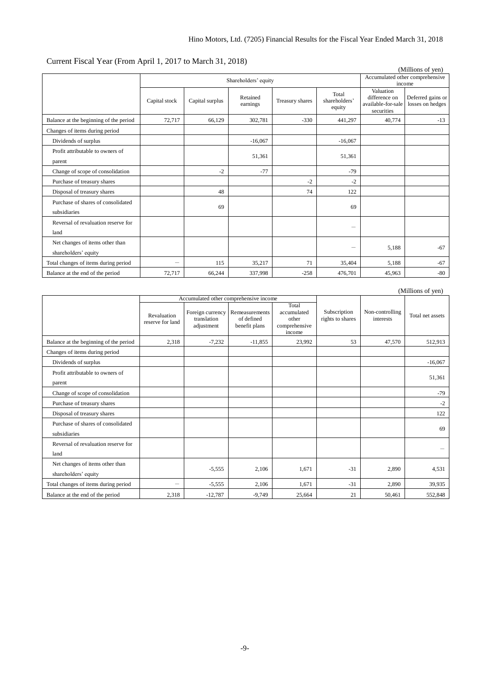| Current Fiscal Year (From April 1, 2017 to March 31, 2018) |  |
|------------------------------------------------------------|--|
|------------------------------------------------------------|--|

| (Millions of yen)                                       |                          |                      |                                           |                 |                                  |                                                                |                                       |
|---------------------------------------------------------|--------------------------|----------------------|-------------------------------------------|-----------------|----------------------------------|----------------------------------------------------------------|---------------------------------------|
|                                                         |                          | Shareholders' equity | Accumulated other comprehensive<br>income |                 |                                  |                                                                |                                       |
|                                                         | Capital stock            | Capital surplus      | Retained<br>earnings                      | Treasury shares | Total<br>shareholders'<br>equity | Valuation<br>difference on<br>available-for-sale<br>securities | Deferred gains or<br>losses on hedges |
| Balance at the beginning of the period                  | 72.717                   | 66.129               | 302,781                                   | $-330$          | 441.297                          | 40.774                                                         | $-13$                                 |
| Changes of items during period                          |                          |                      |                                           |                 |                                  |                                                                |                                       |
| Dividends of surplus                                    |                          |                      | $-16,067$                                 |                 | $-16,067$                        |                                                                |                                       |
| Profit attributable to owners of<br>parent              |                          |                      | 51,361                                    |                 | 51,361                           |                                                                |                                       |
| Change of scope of consolidation                        |                          | $-2$                 | $-77$                                     |                 | $-79$                            |                                                                |                                       |
| Purchase of treasury shares                             |                          |                      |                                           | $-2$            | $-2$                             |                                                                |                                       |
| Disposal of treasury shares                             |                          | 48                   |                                           | 74              | 122                              |                                                                |                                       |
| Purchase of shares of consolidated<br>subsidiaries      |                          | 69                   |                                           |                 | 69                               |                                                                |                                       |
| Reversal of revaluation reserve for<br>land             |                          |                      |                                           |                 |                                  |                                                                |                                       |
| Net changes of items other than<br>shareholders' equity |                          |                      |                                           |                 |                                  | 5,188                                                          | $-67$                                 |
| Total changes of items during period                    | $\overline{\phantom{0}}$ | 115                  | 35,217                                    | 71              | 35,404                           | 5.188                                                          | $-67$                                 |
| Balance at the end of the period                        | 72,717                   | 66,244               | 337,998                                   | $-258$          | 476,701                          | 45,963                                                         | -80                                   |

| (Millions of yen)                                       |                                 |                                               |                                               |                                                          |                                  |                              |                  |
|---------------------------------------------------------|---------------------------------|-----------------------------------------------|-----------------------------------------------|----------------------------------------------------------|----------------------------------|------------------------------|------------------|
|                                                         |                                 |                                               | Accumulated other comprehensive income        |                                                          |                                  |                              |                  |
|                                                         | Revaluation<br>reserve for land | Foreign currency<br>translation<br>adjustment | Remeasurements<br>of defined<br>benefit plans | Total<br>accumulated<br>other<br>comprehensive<br>income | Subscription<br>rights to shares | Non-controlling<br>interests | Total net assets |
| Balance at the beginning of the period                  | 2,318                           | $-7,232$                                      | $-11.855$                                     | 23,992                                                   | 53                               | 47,570                       | 512,913          |
| Changes of items during period                          |                                 |                                               |                                               |                                                          |                                  |                              |                  |
| Dividends of surplus                                    |                                 |                                               |                                               |                                                          |                                  |                              | $-16,067$        |
| Profit attributable to owners of<br>parent              |                                 |                                               |                                               |                                                          |                                  |                              | 51,361           |
| Change of scope of consolidation                        |                                 |                                               |                                               |                                                          |                                  |                              | $-79$            |
| Purchase of treasury shares                             |                                 |                                               |                                               |                                                          |                                  |                              | $-2$             |
| Disposal of treasury shares                             |                                 |                                               |                                               |                                                          |                                  |                              | 122              |
| Purchase of shares of consolidated<br>subsidiaries      |                                 |                                               |                                               |                                                          |                                  |                              | 69               |
| Reversal of revaluation reserve for<br>land             |                                 |                                               |                                               |                                                          |                                  |                              |                  |
| Net changes of items other than<br>shareholders' equity |                                 | $-5,555$                                      | 2,106                                         | 1,671                                                    | $-31$                            | 2,890                        | 4,531            |
| Total changes of items during period                    |                                 | $-5,555$                                      | 2,106                                         | 1,671                                                    | $-31$                            | 2.890                        | 39,935           |
| Balance at the end of the period                        | 2,318                           | $-12,787$                                     | $-9,749$                                      | 25,664                                                   | 21                               | 50,461                       | 552,848          |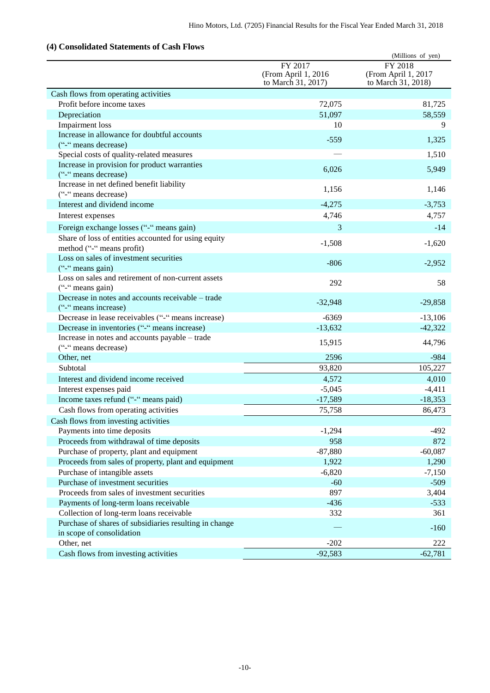## <span id="page-11-0"></span>**(4) Consolidated Statements of Cash Flows**

|                                                                        |                                                      | (Millions of yen)                                    |
|------------------------------------------------------------------------|------------------------------------------------------|------------------------------------------------------|
|                                                                        | FY 2017<br>(From April 1, 2016<br>to March 31, 2017) | FY 2018<br>(From April 1, 2017<br>to March 31, 2018) |
| Cash flows from operating activities                                   |                                                      |                                                      |
| Profit before income taxes                                             | 72,075                                               | 81,725                                               |
| Depreciation                                                           | 51,097                                               | 58,559                                               |
| <b>Impairment</b> loss                                                 | 10                                                   | 9                                                    |
| Increase in allowance for doubtful accounts                            | $-559$                                               | 1,325                                                |
| ("-" means decrease)                                                   |                                                      |                                                      |
| Special costs of quality-related measures                              |                                                      | 1,510                                                |
| Increase in provision for product warranties                           | 6,026                                                | 5,949                                                |
| ("-" means decrease)                                                   |                                                      |                                                      |
| Increase in net defined benefit liability                              | 1,156                                                | 1,146                                                |
| ("-" means decrease)<br>Interest and dividend income                   | $-4,275$                                             | $-3,753$                                             |
|                                                                        |                                                      |                                                      |
| Interest expenses                                                      | 4,746                                                | 4,757                                                |
| Foreign exchange losses ("-" means gain)                               | 3                                                    | $-14$                                                |
| Share of loss of entities accounted for using equity                   | $-1,508$                                             | $-1,620$                                             |
| method ("-" means profit)                                              |                                                      |                                                      |
| Loss on sales of investment securities                                 | $-806$                                               | $-2,952$                                             |
| ("-" means gain)<br>Loss on sales and retirement of non-current assets |                                                      |                                                      |
| ("-" means gain)                                                       | 292                                                  | 58                                                   |
| Decrease in notes and accounts receivable - trade                      |                                                      |                                                      |
| ("-" means increase)                                                   | $-32,948$                                            | $-29,858$                                            |
| Decrease in lease receivables ("-" means increase)                     | $-6369$                                              | $-13,106$                                            |
| Decrease in inventories ("-" means increase)                           | $-13,632$                                            | $-42,322$                                            |
| Increase in notes and accounts payable - trade                         |                                                      |                                                      |
| ("-" means decrease)                                                   | 15,915                                               | 44,796                                               |
| Other, net                                                             | 2596                                                 | $-984$                                               |
| Subtotal                                                               | 93,820                                               | 105,227                                              |
| Interest and dividend income received                                  | 4,572                                                | 4,010                                                |
| Interest expenses paid                                                 | $-5,045$                                             | $-4,411$                                             |
| Income taxes refund ("-" means paid)                                   | $-17,589$                                            | $-18,353$                                            |
| Cash flows from operating activities                                   | 75,758                                               | 86,473                                               |
| Cash flows from investing activities                                   |                                                      |                                                      |
| Payments into time deposits                                            | $-1,294$                                             | $-492$                                               |
| Proceeds from withdrawal of time deposits                              | 958                                                  | 872                                                  |
| Purchase of property, plant and equipment                              | $-87,880$                                            | $-60,087$                                            |
| Proceeds from sales of property, plant and equipment                   | 1,922                                                | 1,290                                                |
| Purchase of intangible assets                                          | $-6,820$                                             | $-7,150$                                             |
| Purchase of investment securities                                      | $-60$                                                | $-509$                                               |
| Proceeds from sales of investment securities                           | 897                                                  | 3,404                                                |
| Payments of long-term loans receivable                                 | $-436$                                               | $-533$                                               |
| Collection of long-term loans receivable                               | 332                                                  | 361                                                  |
| Purchase of shares of subsidiaries resulting in change                 |                                                      | $-160$                                               |
| in scope of consolidation                                              |                                                      |                                                      |
| Other, net                                                             | $-202$                                               | 222                                                  |
| Cash flows from investing activities                                   | $-92,583$                                            | $-62,781$                                            |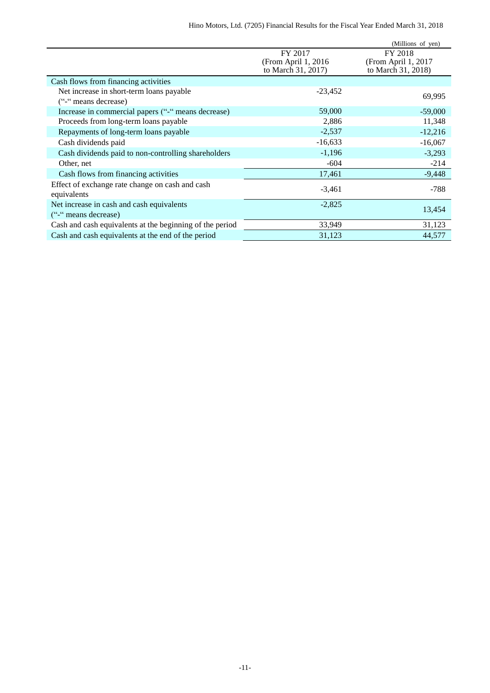|                                                          |                     | (Millions of yen)   |
|----------------------------------------------------------|---------------------|---------------------|
|                                                          | FY 2017             | FY 2018             |
|                                                          | (From April 1, 2016 | (From April 1, 2017 |
|                                                          | to March 31, 2017)  | to March 31, 2018)  |
| Cash flows from financing activities                     |                     |                     |
| Net increase in short-term loans payable                 | $-23,452$           |                     |
| ("-" means decrease)                                     |                     | 69,995              |
| Increase in commercial papers ("-" means decrease)       | 59,000              | $-59,000$           |
| Proceeds from long-term loans payable                    | 2,886               | 11,348              |
| Repayments of long-term loans payable                    | $-2,537$            | $-12,216$           |
| Cash dividends paid                                      | $-16,633$           | $-16,067$           |
| Cash dividends paid to non-controlling shareholders      | $-1,196$            | $-3,293$            |
| Other, net                                               | $-604$              | $-214$              |
| Cash flows from financing activities                     | 17,461              | $-9,448$            |
| Effect of exchange rate change on cash and cash          | $-3,461$            | $-788$              |
| equivalents                                              |                     |                     |
| Net increase in cash and cash equivalents                | $-2,825$            | 13,454              |
| ("-" means decrease)                                     |                     |                     |
| Cash and cash equivalents at the beginning of the period | 33,949              | 31,123              |
| Cash and cash equivalents at the end of the period       | 31,123              | 44,577              |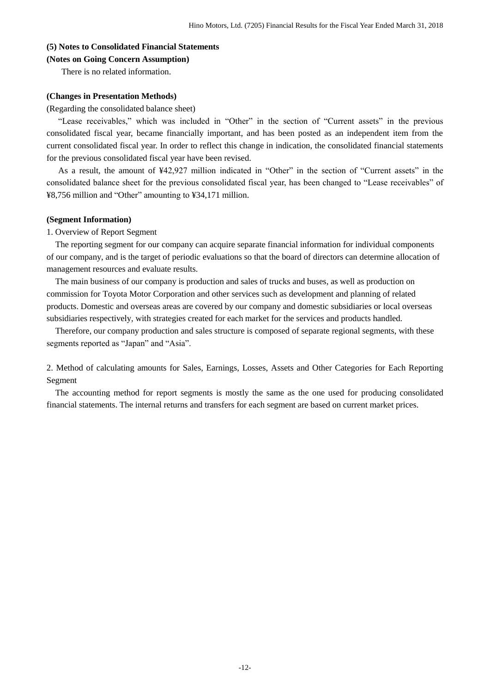## <span id="page-13-0"></span>**(5) Notes to Consolidated Financial Statements**

#### <span id="page-13-1"></span>**(Notes on Going Concern Assumption)**

There is no related information.

#### <span id="page-13-2"></span>**(Changes in Presentation Methods)**

(Regarding the consolidated balance sheet)

"Lease receivables," which was included in "Other" in the section of "Current assets" in the previous consolidated fiscal year, became financially important, and has been posted as an independent item from the current consolidated fiscal year. In order to reflect this change in indication, the consolidated financial statements for the previous consolidated fiscal year have been revised.

As a result, the amount of ¥42,927 million indicated in "Other" in the section of "Current assets" in the consolidated balance sheet for the previous consolidated fiscal year, has been changed to "Lease receivables" of ¥8,756 million and "Other" amounting to ¥34,171 million.

### <span id="page-13-3"></span>**(Segment Information)**

1. Overview of Report Segment

The reporting segment for our company can acquire separate financial information for individual components of our company, and is the target of periodic evaluations so that the board of directors can determine allocation of management resources and evaluate results.

The main business of our company is production and sales of trucks and buses, as well as production on commission for Toyota Motor Corporation and other services such as development and planning of related products. Domestic and overseas areas are covered by our company and domestic subsidiaries or local overseas subsidiaries respectively, with strategies created for each market for the services and products handled.

Therefore, our company production and sales structure is composed of separate regional segments, with these segments reported as "Japan" and "Asia".

2. Method of calculating amounts for Sales, Earnings, Losses, Assets and Other Categories for Each Reporting Segment

The accounting method for report segments is mostly the same as the one used for producing consolidated financial statements. The internal returns and transfers for each segment are based on current market prices.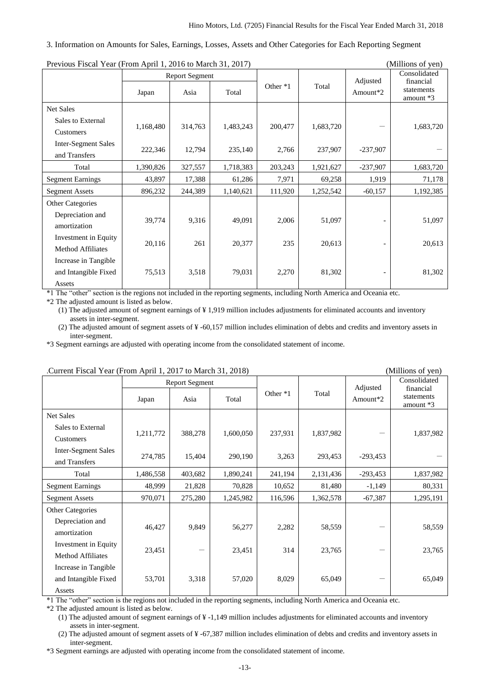#### 3. Information on Amounts for Sales, Earnings, Losses, Assets and Other Categories for Each Reporting Segment

| Previous Piscal Teat (Profit April 1, 2010 to March 31, 2017) |           |                |           |          |           |            | ( <i>INITHOITS OF YELL)</i> |
|---------------------------------------------------------------|-----------|----------------|-----------|----------|-----------|------------|-----------------------------|
|                                                               |           | Report Segment |           |          |           | Adjusted   | Consolidated<br>financial   |
|                                                               | Japan     | Asia           | Total     | Other *1 | Total     | Amount*2   | statements<br>amount *3     |
| <b>Net Sales</b>                                              |           |                |           |          |           |            |                             |
| Sales to External                                             | 1,168,480 | 314,763        | 1,483,243 | 200,477  | 1,683,720 |            | 1,683,720                   |
| Customers                                                     |           |                |           |          |           |            |                             |
| <b>Inter-Segment Sales</b>                                    | 222,346   | 12,794         | 235,140   | 2,766    | 237,907   | $-237,907$ |                             |
| and Transfers                                                 |           |                |           |          |           |            |                             |
| Total                                                         | 1,390,826 | 327,557        | 1,718,383 | 203,243  | 1,921,627 | $-237,907$ | 1,683,720                   |
| <b>Segment Earnings</b>                                       | 43,897    | 17,388         | 61,286    | 7,971    | 69,258    | 1,919      | 71,178                      |
| <b>Segment Assets</b>                                         | 896,232   | 244,389        | 1,140,621 | 111,920  | 1,252,542 | $-60,157$  | 1,192,385                   |
| Other Categories                                              |           |                |           |          |           |            |                             |
| Depreciation and                                              | 39,774    | 9,316          | 49,091    | 2,006    | 51,097    |            | 51,097                      |
| amortization                                                  |           |                |           |          |           |            |                             |
| Investment in Equity                                          | 20,116    | 261            | 20,377    | 235      | 20,613    |            | 20,613                      |
| <b>Method Affiliates</b>                                      |           |                |           |          |           |            |                             |
| Increase in Tangible                                          |           |                |           |          |           |            |                             |
| and Intangible Fixed                                          | 75,513    | 3,518          | 79,031    | 2,270    | 81,302    |            | 81,302                      |
| Assets                                                        |           |                |           |          |           |            |                             |

Previous Fiscal Year (From April 1, 2016 to March 31, 2017) (Millions of yen)

\*1 The "other" section is the regions not included in the reporting segments, including North America and Oceania etc.

\*2 The adjusted amount is listed as below.

(1) The adjusted amount of segment earnings of ¥ 1,919 million includes adjustments for eliminated accounts and inventory assets in inter-segment.

(2) The adjusted amount of segment assets of ¥ -60,157 million includes elimination of debts and credits and inventory assets in inter-segment.

\*3 Segment earnings are adjusted with operating income from the consolidated statement of income.

| . Current Fiscar Tear (From April 1, 2017 to March 91, 2010) |           |                       |           |          | (1)       |            |                           |  |
|--------------------------------------------------------------|-----------|-----------------------|-----------|----------|-----------|------------|---------------------------|--|
|                                                              |           | <b>Report Segment</b> |           |          |           | Adjusted   | Consolidated<br>financial |  |
|                                                              | Japan     | Asia                  | Total     | Other *1 | Total     | Amount*2   | statements<br>amount $*3$ |  |
| Net Sales                                                    |           |                       |           |          |           |            |                           |  |
| Sales to External                                            | 1,211,772 | 388,278               | 1,600,050 | 237,931  | 1,837,982 |            | 1,837,982                 |  |
| Customers                                                    |           |                       |           |          |           |            |                           |  |
| <b>Inter-Segment Sales</b>                                   | 274,785   | 15,404                | 290,190   | 3,263    | 293,453   | $-293,453$ |                           |  |
| and Transfers                                                |           |                       |           |          |           |            |                           |  |
| Total                                                        | 1,486,558 | 403,682               | 1,890,241 | 241,194  | 2,131,436 | $-293,453$ | 1,837,982                 |  |
| <b>Segment Earnings</b>                                      | 48,999    | 21,828                | 70,828    | 10,652   | 81,480    | $-1,149$   | 80,331                    |  |
| <b>Segment Assets</b>                                        | 970,071   | 275,280               | 1,245,982 | 116,596  | 1,362,578 | $-67,387$  | 1,295,191                 |  |
| <b>Other Categories</b>                                      |           |                       |           |          |           |            |                           |  |
| Depreciation and                                             | 46,427    | 9,849                 | 56,277    | 2,282    | 58,559    |            | 58,559                    |  |
| amortization                                                 |           |                       |           |          |           |            |                           |  |
| Investment in Equity                                         | 23,451    |                       | 23,451    | 314      | 23,765    |            | 23,765                    |  |
| <b>Method Affiliates</b>                                     |           |                       |           |          |           |            |                           |  |
| Increase in Tangible                                         |           |                       |           |          |           |            |                           |  |
| and Intangible Fixed                                         | 53,701    | 3,318                 | 57,020    | 8,029    | 65,049    |            | 65,049                    |  |
| Assets                                                       |           |                       |           |          |           |            |                           |  |

#### .Current Fiscal Year (From April 1, 2017 to March 31, 2018) (Millions of yen)

\*1 The "other" section is the regions not included in the reporting segments, including North America and Oceania etc.

\*2 The adjusted amount is listed as below.

(1) The adjusted amount of segment earnings of ¥ -1,149 million includes adjustments for eliminated accounts and inventory assets in inter-segment.

(2) The adjusted amount of segment assets of ¥ -67,387 million includes elimination of debts and credits and inventory assets in inter-segment.

\*3 Segment earnings are adjusted with operating income from the consolidated statement of income.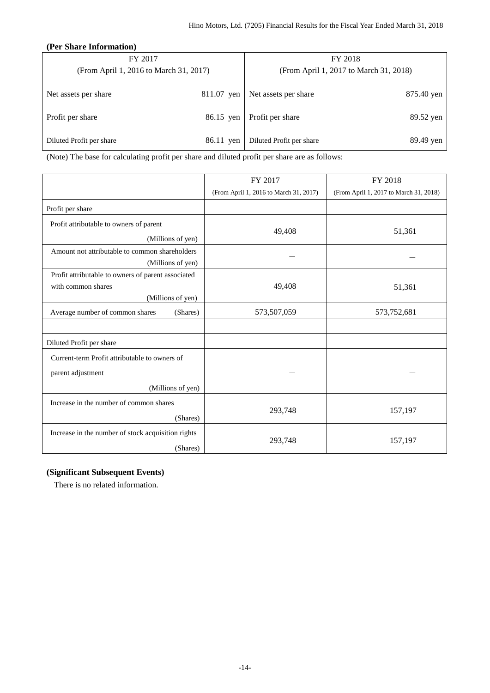### <span id="page-15-0"></span>**(Per Share Information)**

| FY 2017                                |            | FY 2018                                |            |  |  |  |
|----------------------------------------|------------|----------------------------------------|------------|--|--|--|
| (From April 1, 2016 to March 31, 2017) |            | (From April 1, 2017 to March 31, 2018) |            |  |  |  |
| Net assets per share                   | 811.07 yen | Net assets per share                   | 875.40 yen |  |  |  |
| Profit per share                       | 86.15 yen  | Profit per share                       | 89.52 yen  |  |  |  |
| Diluted Profit per share               | 86.11 yen  | Diluted Profit per share               | 89.49 yen  |  |  |  |

(Note) The base for calculating profit per share and diluted profit per share are as follows:

|                                                                                               | FY 2017                                | FY 2018                                |
|-----------------------------------------------------------------------------------------------|----------------------------------------|----------------------------------------|
|                                                                                               | (From April 1, 2016 to March 31, 2017) | (From April 1, 2017 to March 31, 2018) |
| Profit per share                                                                              |                                        |                                        |
| Profit attributable to owners of parent                                                       |                                        |                                        |
| (Millions of yen)                                                                             | 49,408                                 | 51,361                                 |
| Amount not attributable to common shareholders                                                |                                        |                                        |
| (Millions of yen)                                                                             |                                        |                                        |
| Profit attributable to owners of parent associated<br>with common shares<br>(Millions of yen) | 49,408                                 | 51,361                                 |
| Average number of common shares<br>(Shares)                                                   | 573,507,059                            | 573,752,681                            |
|                                                                                               |                                        |                                        |
| Diluted Profit per share                                                                      |                                        |                                        |
| Current-term Profit attributable to owners of                                                 |                                        |                                        |
| parent adjustment                                                                             |                                        |                                        |
| (Millions of yen)                                                                             |                                        |                                        |
| Increase in the number of common shares<br>(Shares)                                           | 293,748                                | 157,197                                |
| Increase in the number of stock acquisition rights<br>(Shares)                                | 293,748                                | 157,197                                |

### <span id="page-15-1"></span>**(Significant Subsequent Events)**

There is no related information.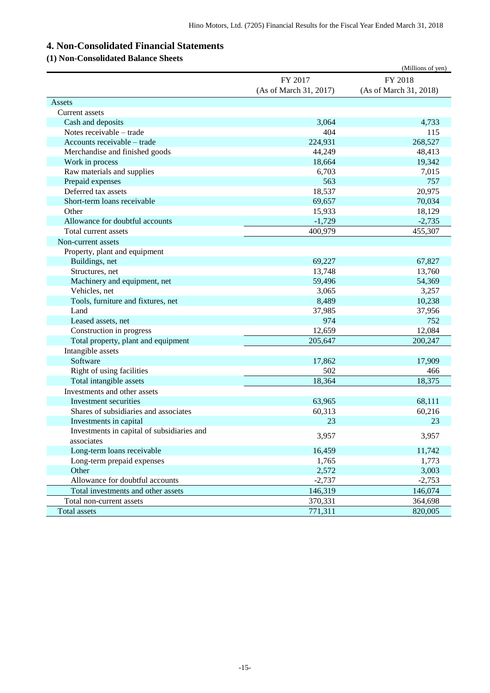# <span id="page-16-0"></span>**4. Non-Consolidated Financial Statements**

## <span id="page-16-1"></span>**(1) Non-Consolidated Balance Sheets**

|                                            |                        | (Millions of yen)      |
|--------------------------------------------|------------------------|------------------------|
|                                            | FY 2017                | FY 2018                |
|                                            | (As of March 31, 2017) | (As of March 31, 2018) |
| Assets                                     |                        |                        |
| Current assets                             |                        |                        |
| Cash and deposits                          | 3,064                  | 4,733                  |
| Notes receivable – trade                   | 404                    | 115                    |
| Accounts receivable - trade                | 224,931                | 268,527                |
| Merchandise and finished goods             | 44,249                 | 48,413                 |
| Work in process                            | 18,664                 | 19,342                 |
| Raw materials and supplies                 | 6,703                  | 7,015                  |
| Prepaid expenses                           | 563                    | 757                    |
| Deferred tax assets                        | 18,537                 | 20,975                 |
| Short-term loans receivable                | 69,657                 | 70,034                 |
| Other                                      | 15,933                 | 18,129                 |
| Allowance for doubtful accounts            | $-1,729$               | $-2,735$               |
| Total current assets                       | 400,979                | 455,307                |
| Non-current assets                         |                        |                        |
| Property, plant and equipment              |                        |                        |
| Buildings, net                             | 69,227                 | 67,827                 |
| Structures, net                            | 13,748                 | 13,760                 |
| Machinery and equipment, net               | 59,496                 | 54,369                 |
| Vehicles, net                              | 3,065                  | 3,257                  |
| Tools, furniture and fixtures, net         | 8,489                  | 10,238                 |
| Land                                       | 37,985                 | 37,956                 |
| Leased assets, net                         | 974                    | 752                    |
| Construction in progress                   | 12,659                 | 12,084                 |
| Total property, plant and equipment        | 205,647                | 200,247                |
| Intangible assets                          |                        |                        |
| Software                                   | 17,862                 | 17,909                 |
| Right of using facilities                  | 502                    | 466                    |
| Total intangible assets                    | 18,364                 | 18,375                 |
| Investments and other assets               |                        |                        |
| Investment securities                      | 63,965                 | 68,111                 |
| Shares of subsidiaries and associates      | 60,313                 | 60,216                 |
| Investments in capital                     | 23                     | 23                     |
| Investments in capital of subsidiaries and |                        |                        |
| associates                                 | 3,957                  | 3,957                  |
| Long-term loans receivable                 | 16,459                 | 11,742                 |
| Long-term prepaid expenses                 | 1,765                  | 1,773                  |
| Other                                      | 2,572                  | 3,003                  |
| Allowance for doubtful accounts            | $-2,737$               | $-2,753$               |
| Total investments and other assets         | 146,319                | 146,074                |
| Total non-current assets                   | 370,331                | 364,698                |
| Total assets                               | 771,311                | 820,005                |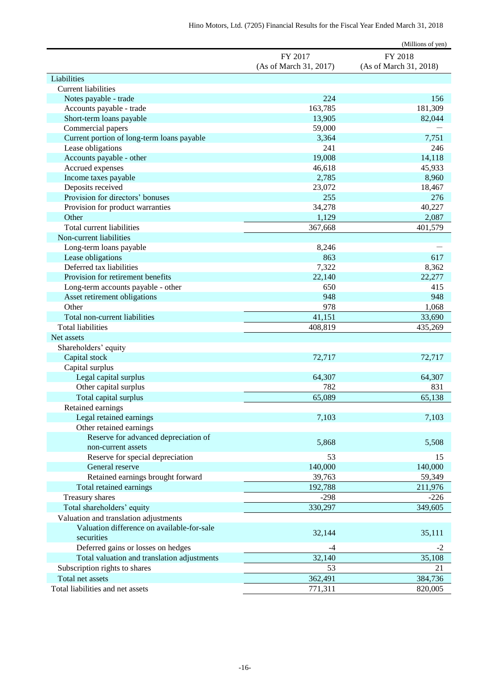|                                             |                        | (Millions of yen)      |
|---------------------------------------------|------------------------|------------------------|
|                                             | FY 2017                | FY 2018                |
|                                             | (As of March 31, 2017) | (As of March 31, 2018) |
| Liabilities                                 |                        |                        |
| <b>Current liabilities</b>                  |                        |                        |
| Notes payable - trade                       | 224                    | 156                    |
| Accounts payable - trade                    | 163,785                | 181,309                |
| Short-term loans payable                    | 13,905                 | 82,044                 |
| Commercial papers                           | 59,000                 |                        |
| Current portion of long-term loans payable  | 3,364                  | 7,751                  |
| Lease obligations                           | 241                    | 246                    |
| Accounts payable - other                    | 19,008                 | 14,118                 |
| Accrued expenses                            | 46,618                 | 45,933                 |
| Income taxes payable                        | 2,785                  | 8,960                  |
| Deposits received                           | 23,072                 | 18,467                 |
| Provision for directors' bonuses            | 255                    | 276                    |
| Provision for product warranties            | 34,278                 | 40,227                 |
| Other                                       | 1,129                  | 2,087                  |
| Total current liabilities                   | 367,668                | 401,579                |
| Non-current liabilities                     |                        |                        |
| Long-term loans payable                     | 8,246                  |                        |
| Lease obligations                           | 863                    | 617                    |
| Deferred tax liabilities                    | 7,322                  | 8,362                  |
| Provision for retirement benefits           | 22,140                 | 22,277                 |
| Long-term accounts payable - other          | 650                    | 415                    |
| Asset retirement obligations                | 948                    | 948                    |
| Other                                       | 978                    | 1,068                  |
| Total non-current liabilities               | 41,151                 | 33,690                 |
| <b>Total liabilities</b>                    | 408,819                | 435,269                |
| Net assets                                  |                        |                        |
| Shareholders' equity                        |                        |                        |
| Capital stock                               | 72,717                 | 72,717                 |
| Capital surplus                             |                        |                        |
| Legal capital surplus                       | 64,307                 | 64,307                 |
| Other capital surplus                       | 782                    | 831                    |
| Total capital surplus                       | 65,089                 | 65,138                 |
| Retained earnings                           |                        |                        |
| Legal retained earnings                     | 7,103                  | 7,103                  |
| Other retained earnings                     |                        |                        |
| Reserve for advanced depreciation of        |                        |                        |
| non-current assets                          | 5,868                  | 5,508                  |
| Reserve for special depreciation            | 53                     | 15                     |
| General reserve                             | 140,000                | 140,000                |
| Retained earnings brought forward           | 39,763                 | 59,349                 |
| Total retained earnings                     | 192,788                | 211,976                |
| Treasury shares                             | $-298$                 | $-226$                 |
| Total shareholders' equity                  | 330,297                | 349,605                |
| Valuation and translation adjustments       |                        |                        |
| Valuation difference on available-for-sale  |                        |                        |
| securities                                  | 32,144                 | 35,111                 |
| Deferred gains or losses on hedges          | -4                     | $-2$                   |
| Total valuation and translation adjustments | 32,140                 | 35,108                 |
| Subscription rights to shares               | 53                     | 21                     |
| Total net assets                            | 362,491                | 384,736                |
| Total liabilities and net assets            | 771,311                | 820,005                |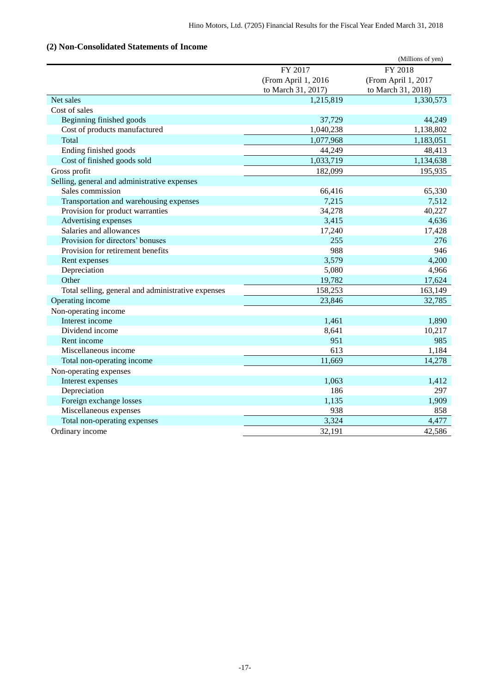## <span id="page-18-0"></span>**(2) Non-Consolidated Statements of Income**

|                                                    |                     | (Millions of yen)   |
|----------------------------------------------------|---------------------|---------------------|
|                                                    | FY 2017             | FY 2018             |
|                                                    | (From April 1, 2016 | (From April 1, 2017 |
|                                                    | to March 31, 2017)  | to March 31, 2018)  |
| Net sales                                          | 1,215,819           | 1,330,573           |
| Cost of sales                                      |                     |                     |
| Beginning finished goods                           | 37,729              | 44,249              |
| Cost of products manufactured                      | 1,040,238           | 1,138,802           |
| Total                                              | 1,077,968           | 1,183,051           |
| Ending finished goods                              | 44,249              | 48,413              |
| Cost of finished goods sold                        | 1,033,719           | 1,134,638           |
| Gross profit                                       | 182,099             | 195,935             |
| Selling, general and administrative expenses       |                     |                     |
| Sales commission                                   | 66,416              | 65,330              |
| Transportation and warehousing expenses            | 7,215               | 7,512               |
| Provision for product warranties                   | 34,278              | 40,227              |
| <b>Advertising expenses</b>                        | 3,415               | 4,636               |
| Salaries and allowances                            | 17,240              | 17,428              |
| Provision for directors' bonuses                   | 255                 | 276                 |
| Provision for retirement benefits                  | 988                 | 946                 |
| Rent expenses                                      | 3,579               | 4,200               |
| Depreciation                                       | 5,080               | 4,966               |
| Other                                              | 19,782              | 17,624              |
| Total selling, general and administrative expenses | 158,253             | 163,149             |
| Operating income                                   | 23,846              | 32,785              |
| Non-operating income                               |                     |                     |
| Interest income                                    | 1,461               | 1,890               |
| Dividend income                                    | 8,641               | 10,217              |
| Rent income                                        | 951                 | 985                 |
| Miscellaneous income                               | 613                 | 1,184               |
| Total non-operating income                         | 11,669              | 14,278              |
| Non-operating expenses                             |                     |                     |
| Interest expenses                                  | 1,063               | 1,412               |
| Depreciation                                       | 186                 | 297                 |
| Foreign exchange losses                            | 1,135               | 1,909               |
| Miscellaneous expenses                             | 938                 | 858                 |
| Total non-operating expenses                       | 3,324               | 4,477               |
| Ordinary income                                    | 32,191              | 42,586              |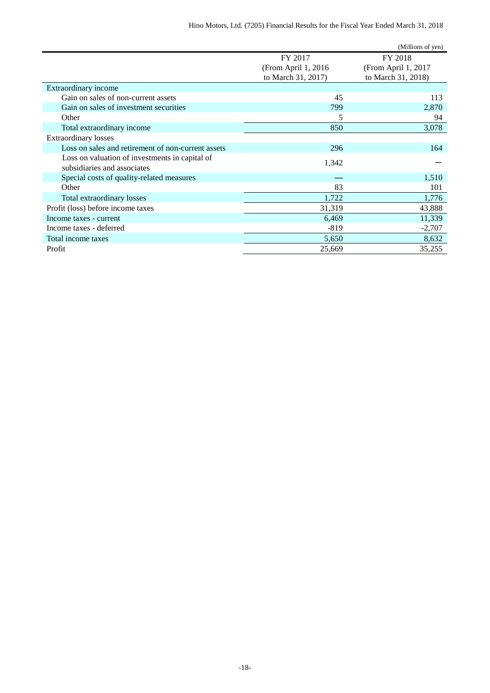|                                                    |                     | (Millions of yen)   |
|----------------------------------------------------|---------------------|---------------------|
|                                                    | FY 2017             | FY 2018             |
|                                                    | (From April 1, 2016 | (From April 1, 2017 |
|                                                    | to March 31, 2017)  | to March 31, 2018)  |
| Extraordinary income                               |                     |                     |
| Gain on sales of non-current assets                | 45                  | 113                 |
| Gain on sales of investment securities             | 799                 | 2,870               |
| Other                                              | 5                   | 94                  |
| Total extraordinary income                         | 850                 | 3,078               |
| <b>Extraordinary losses</b>                        |                     |                     |
| Loss on sales and retirement of non-current assets | 296                 | 164                 |
| Loss on valuation of investments in capital of     |                     |                     |
| subsidiaries and associates                        | 1,342               |                     |
| Special costs of quality-related measures          |                     | 1,510               |
| Other                                              | 83                  | 101                 |
| Total extraordinary losses                         | 1,722               | 1,776               |
| Profit (loss) before income taxes                  | 31,319              | 43,888              |
| Income taxes - current                             | 6,469               | 11,339              |
| Income taxes - deferred                            | $-819$              | $-2,707$            |
| Total income taxes                                 | 5,650               | 8,632               |
| Profit                                             | 25,669              | 35,255              |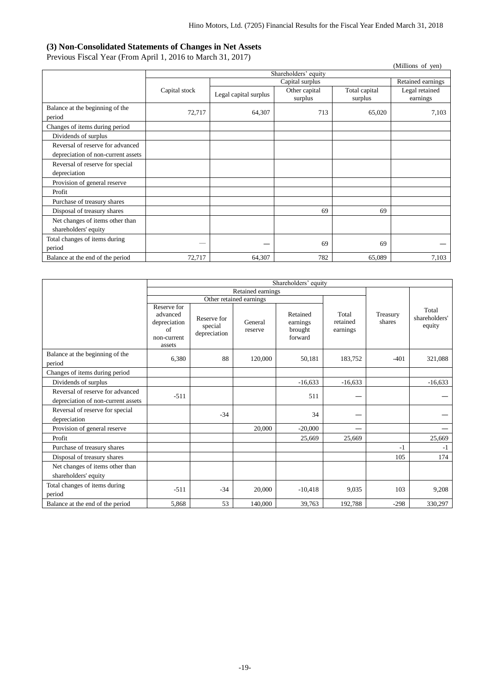### <span id="page-20-0"></span>**(3) Non-Consolidated Statements of Changes in Net Assets**

Previous Fiscal Year (From April 1, 2016 to March 31, 2017)

| 1 Tevrous Fiscal Teat (From April 1, 2010 to March 91, 2017)<br>(Millions of yen) |               |                       |                          |                          |                            |  |  |
|-----------------------------------------------------------------------------------|---------------|-----------------------|--------------------------|--------------------------|----------------------------|--|--|
|                                                                                   |               |                       | Shareholders' equity     |                          |                            |  |  |
|                                                                                   |               |                       | Capital surplus          |                          | Retained earnings          |  |  |
|                                                                                   | Capital stock | Legal capital surplus | Other capital<br>surplus | Total capital<br>surplus | Legal retained<br>earnings |  |  |
| Balance at the beginning of the<br>period                                         | 72,717        | 64,307                | 713                      | 65,020                   | 7,103                      |  |  |
| Changes of items during period                                                    |               |                       |                          |                          |                            |  |  |
| Dividends of surplus                                                              |               |                       |                          |                          |                            |  |  |
| Reversal of reserve for advanced<br>depreciation of non-current assets            |               |                       |                          |                          |                            |  |  |
| Reversal of reserve for special<br>depreciation                                   |               |                       |                          |                          |                            |  |  |
| Provision of general reserve                                                      |               |                       |                          |                          |                            |  |  |
| Profit                                                                            |               |                       |                          |                          |                            |  |  |
| Purchase of treasury shares                                                       |               |                       |                          |                          |                            |  |  |
| Disposal of treasury shares                                                       |               |                       | 69                       | 69                       |                            |  |  |
| Net changes of items other than<br>shareholders' equity                           |               |                       |                          |                          |                            |  |  |
| Total changes of items during<br>period                                           |               |                       | 69                       | 69                       |                            |  |  |
| Balance at the end of the period                                                  | 72,717        | 64,307                | 782                      | 65,089                   | 7,103                      |  |  |

|                                                                        | Shareholders' equity                                                   |                                        |                         |                                            |                               |                    |                                  |
|------------------------------------------------------------------------|------------------------------------------------------------------------|----------------------------------------|-------------------------|--------------------------------------------|-------------------------------|--------------------|----------------------------------|
|                                                                        |                                                                        |                                        | Retained earnings       |                                            |                               |                    |                                  |
|                                                                        |                                                                        |                                        | Other retained earnings |                                            |                               |                    |                                  |
|                                                                        | Reserve for<br>advanced<br>depreciation<br>of<br>non-current<br>assets | Reserve for<br>special<br>depreciation | General<br>reserve      | Retained<br>earnings<br>brought<br>forward | Total<br>retained<br>earnings | Treasury<br>shares | Total<br>shareholders'<br>equity |
| Balance at the beginning of the<br>period                              | 6,380                                                                  | 88                                     | 120,000                 | 50,181                                     | 183,752                       | $-401$             | 321,088                          |
| Changes of items during period                                         |                                                                        |                                        |                         |                                            |                               |                    |                                  |
| Dividends of surplus                                                   |                                                                        |                                        |                         | $-16,633$                                  | $-16,633$                     |                    | $-16,633$                        |
| Reversal of reserve for advanced<br>depreciation of non-current assets | $-511$                                                                 |                                        |                         | 511                                        |                               |                    |                                  |
| Reversal of reserve for special<br>depreciation                        |                                                                        | $-34$                                  |                         | 34                                         |                               |                    |                                  |
| Provision of general reserve                                           |                                                                        |                                        | 20,000                  | $-20,000$                                  |                               |                    |                                  |
| Profit                                                                 |                                                                        |                                        |                         | 25,669                                     | 25,669                        |                    | 25,669                           |
| Purchase of treasury shares                                            |                                                                        |                                        |                         |                                            |                               | $-1$               | $-1$                             |
| Disposal of treasury shares                                            |                                                                        |                                        |                         |                                            |                               | 105                | 174                              |
| Net changes of items other than<br>shareholders' equity                |                                                                        |                                        |                         |                                            |                               |                    |                                  |
| Total changes of items during<br>period                                | $-511$                                                                 | $-34$                                  | 20,000                  | $-10,418$                                  | 9.035                         | 103                | 9,208                            |
| Balance at the end of the period                                       | 5,868                                                                  | 53                                     | 140,000                 | 39,763                                     | 192,788                       | $-298$             | 330,297                          |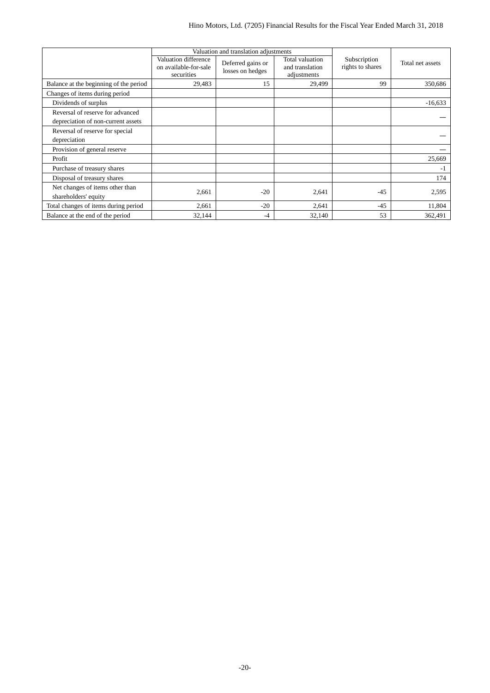|                                                                        |                                                             | Valuation and translation adjustments |                                                   |                                  |                  |
|------------------------------------------------------------------------|-------------------------------------------------------------|---------------------------------------|---------------------------------------------------|----------------------------------|------------------|
|                                                                        | Valuation difference<br>on available-for-sale<br>securities | Deferred gains or<br>losses on hedges | Total valuation<br>and translation<br>adjustments | Subscription<br>rights to shares | Total net assets |
| Balance at the beginning of the period                                 | 29,483                                                      | 15                                    | 29,499                                            | 99                               | 350.686          |
| Changes of items during period                                         |                                                             |                                       |                                                   |                                  |                  |
| Dividends of surplus                                                   |                                                             |                                       |                                                   |                                  | $-16,633$        |
| Reversal of reserve for advanced<br>depreciation of non-current assets |                                                             |                                       |                                                   |                                  |                  |
| Reversal of reserve for special<br>depreciation                        |                                                             |                                       |                                                   |                                  |                  |
| Provision of general reserve                                           |                                                             |                                       |                                                   |                                  |                  |
| Profit                                                                 |                                                             |                                       |                                                   |                                  | 25,669           |
| Purchase of treasury shares                                            |                                                             |                                       |                                                   |                                  | -1               |
| Disposal of treasury shares                                            |                                                             |                                       |                                                   |                                  | 174              |
| Net changes of items other than<br>shareholders' equity                | 2,661                                                       | $-20$                                 | 2,641                                             | $-45$                            | 2,595            |
| Total changes of items during period                                   | 2,661                                                       | $-20$                                 | 2,641                                             | $-45$                            | 11,804           |
| Balance at the end of the period                                       | 32,144                                                      | $-4$                                  | 32,140                                            | 53                               | 362,491          |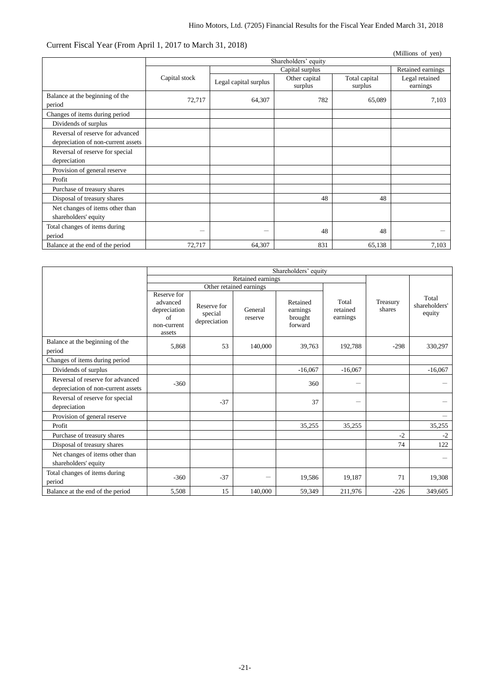### Current Fiscal Year (From April 1, 2017 to March 31, 2018)

|                                           |               |                       |                          |                          | (Millions of yen)          |
|-------------------------------------------|---------------|-----------------------|--------------------------|--------------------------|----------------------------|
|                                           |               |                       | Shareholders' equity     |                          |                            |
|                                           |               |                       | Capital surplus          |                          | Retained earnings          |
|                                           | Capital stock | Legal capital surplus | Other capital<br>surplus | Total capital<br>surplus | Legal retained<br>earnings |
| Balance at the beginning of the<br>period | 72,717        | 64,307                | 782                      | 65,089                   | 7,103                      |
| Changes of items during period            |               |                       |                          |                          |                            |
| Dividends of surplus                      |               |                       |                          |                          |                            |
| Reversal of reserve for advanced          |               |                       |                          |                          |                            |
| depreciation of non-current assets        |               |                       |                          |                          |                            |
| Reversal of reserve for special           |               |                       |                          |                          |                            |
| depreciation                              |               |                       |                          |                          |                            |
| Provision of general reserve              |               |                       |                          |                          |                            |
| Profit                                    |               |                       |                          |                          |                            |
| Purchase of treasury shares               |               |                       |                          |                          |                            |
| Disposal of treasury shares               |               |                       | 48                       | 48                       |                            |
| Net changes of items other than           |               |                       |                          |                          |                            |
| shareholders' equity                      |               |                       |                          |                          |                            |
| Total changes of items during             | —             |                       | 48                       | 48                       |                            |
| period                                    |               |                       |                          |                          |                            |
| Balance at the end of the period          | 72,717        | 64,307                | 831                      | 65,138                   | 7,103                      |

|                                                                        | Shareholders' equity                                                   |                                        |                         |                                            |                               |                    |                                  |
|------------------------------------------------------------------------|------------------------------------------------------------------------|----------------------------------------|-------------------------|--------------------------------------------|-------------------------------|--------------------|----------------------------------|
|                                                                        |                                                                        |                                        | Retained earnings       |                                            |                               |                    |                                  |
|                                                                        |                                                                        |                                        | Other retained earnings |                                            |                               |                    |                                  |
|                                                                        | Reserve for<br>advanced<br>depreciation<br>of<br>non-current<br>assets | Reserve for<br>special<br>depreciation | General<br>reserve      | Retained<br>earnings<br>brought<br>forward | Total<br>retained<br>earnings | Treasury<br>shares | Total<br>shareholders'<br>equity |
| Balance at the beginning of the<br>period                              | 5,868                                                                  | 53                                     | 140,000                 | 39,763                                     | 192,788                       | $-298$             | 330,297                          |
| Changes of items during period                                         |                                                                        |                                        |                         |                                            |                               |                    |                                  |
| Dividends of surplus                                                   |                                                                        |                                        |                         | $-16,067$                                  | $-16,067$                     |                    | $-16,067$                        |
| Reversal of reserve for advanced<br>depreciation of non-current assets | $-360$                                                                 |                                        |                         | 360                                        | $\qquad \qquad$               |                    |                                  |
| Reversal of reserve for special<br>depreciation                        |                                                                        | $-37$                                  |                         | 37                                         | —                             |                    |                                  |
| Provision of general reserve                                           |                                                                        |                                        |                         |                                            |                               |                    | $\overline{\phantom{0}}$         |
| Profit                                                                 |                                                                        |                                        |                         | 35,255                                     | 35,255                        |                    | 35,255                           |
| Purchase of treasury shares                                            |                                                                        |                                        |                         |                                            |                               | $-2$               | $-2$                             |
| Disposal of treasury shares                                            |                                                                        |                                        |                         |                                            |                               | 74                 | 122                              |
| Net changes of items other than<br>shareholders' equity                |                                                                        |                                        |                         |                                            |                               |                    |                                  |
| Total changes of items during<br>period                                | $-360$                                                                 | $-37$                                  |                         | 19,586                                     | 19,187                        | 71                 | 19,308                           |
| Balance at the end of the period                                       | 5,508                                                                  | 15                                     | 140,000                 | 59,349                                     | 211,976                       | $-226$             | 349,605                          |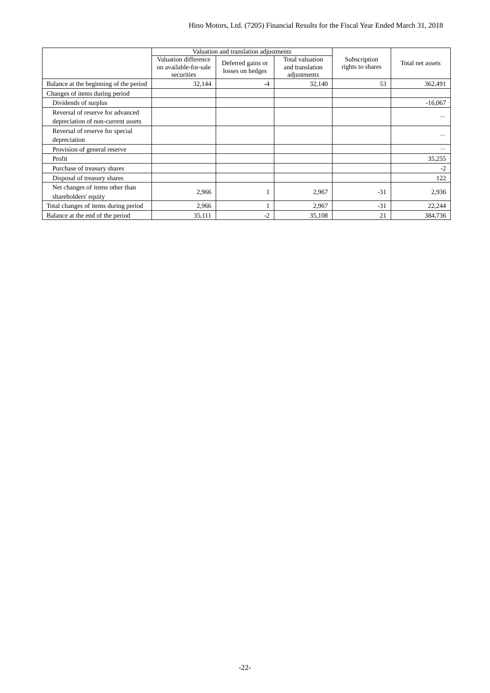|                                                                        |                                                             | Valuation and translation adjustments |                                                   |                                  |                  |
|------------------------------------------------------------------------|-------------------------------------------------------------|---------------------------------------|---------------------------------------------------|----------------------------------|------------------|
|                                                                        | Valuation difference<br>on available-for-sale<br>securities | Deferred gains or<br>losses on hedges | Total valuation<br>and translation<br>adjustments | Subscription<br>rights to shares | Total net assets |
| Balance at the beginning of the period                                 | 32,144                                                      | $-4$                                  | 32,140                                            | 53                               | 362,491          |
| Changes of items during period                                         |                                                             |                                       |                                                   |                                  |                  |
| Dividends of surplus                                                   |                                                             |                                       |                                                   |                                  | $-16,067$        |
| Reversal of reserve for advanced<br>depreciation of non-current assets |                                                             |                                       |                                                   |                                  |                  |
| Reversal of reserve for special<br>depreciation                        |                                                             |                                       |                                                   |                                  |                  |
| Provision of general reserve                                           |                                                             |                                       |                                                   |                                  |                  |
| Profit                                                                 |                                                             |                                       |                                                   |                                  | 35,255           |
| Purchase of treasury shares                                            |                                                             |                                       |                                                   |                                  | $-2$             |
| Disposal of treasury shares                                            |                                                             |                                       |                                                   |                                  | 122              |
| Net changes of items other than<br>shareholders' equity                | 2,966                                                       |                                       | 2,967                                             | $-31$                            | 2,936            |
| Total changes of items during period                                   | 2,966                                                       |                                       | 2,967                                             | $-31$                            | 22,244           |
| Balance at the end of the period                                       | 35,111                                                      | $-2$                                  | 35,108                                            | 21                               | 384,736          |